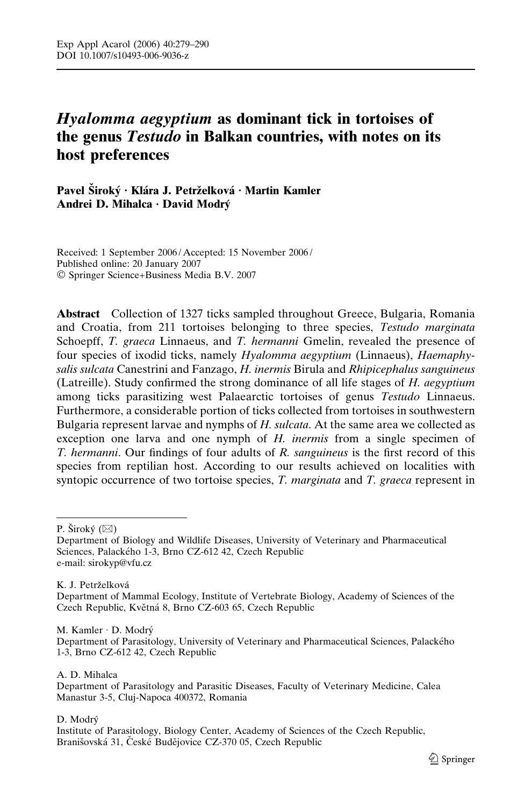# Hyalomma aegyptium as dominant tick in tortoises of the genus Testudo in Balkan countries, with notes on its host preferences

Pavel Široký · Klára J. Petrželková · Martin Kamler Andrei D. Mihalca · David Modrý

Received: 1 September 2006 / Accepted: 15 November 2006 / Published online: 20 January 2007 Springer Science+Business Media B.V. 2007

Abstract Collection of 1327 ticks sampled throughout Greece, Bulgaria, Romania and Croatia, from 211 tortoises belonging to three species, Testudo marginata Schoepff, T. graeca Linnaeus, and T. hermanni Gmelin, revealed the presence of four species of ixodid ticks, namely Hyalomma aegyptium (Linnaeus), Haemaphysalis sulcata Canestrini and Fanzago, H. inermis Birula and Rhipicephalus sanguineus (Latreille). Study confirmed the strong dominance of all life stages of H. aegyptium among ticks parasitizing west Palaearctic tortoises of genus Testudo Linnaeus. Furthermore, a considerable portion of ticks collected from tortoises in southwestern Bulgaria represent larvae and nymphs of H. sulcata. At the same area we collected as exception one larva and one nymph of H. inermis from a single specimen of T. hermanni. Our findings of four adults of R. sanguineus is the first record of this species from reptilian host. According to our results achieved on localities with syntopic occurrence of two tortoise species, T. marginata and T. graeca represent in

P. Široký  $(\boxtimes)$ 

K. J. Petrželková

M. Kamler · D. Modrý

A. D. Mihalca

#### D. Modrý

Department of Biology and Wildlife Diseases, University of Veterinary and Pharmaceutical Sciences, Palackého 1-3, Brno CZ-612 42, Czech Republic e-mail: sirokyp@vfu.cz

Department of Mammal Ecology, Institute of Vertebrate Biology, Academy of Sciences of the Czech Republic, Květná 8, Brno CZ-603 65, Czech Republic

Department of Parasitology, University of Veterinary and Pharmaceutical Sciences, Palackého 1-3, Brno CZ-612 42, Czech Republic

Department of Parasitology and Parasitic Diseases, Faculty of Veterinary Medicine, Calea Manastur 3-5, Cluj-Napoca 400372, Romania

Institute of Parasitology, Biology Center, Academy of Sciences of the Czech Republic, Branišovská 31, České Budějovice CZ-370 05, Czech Republic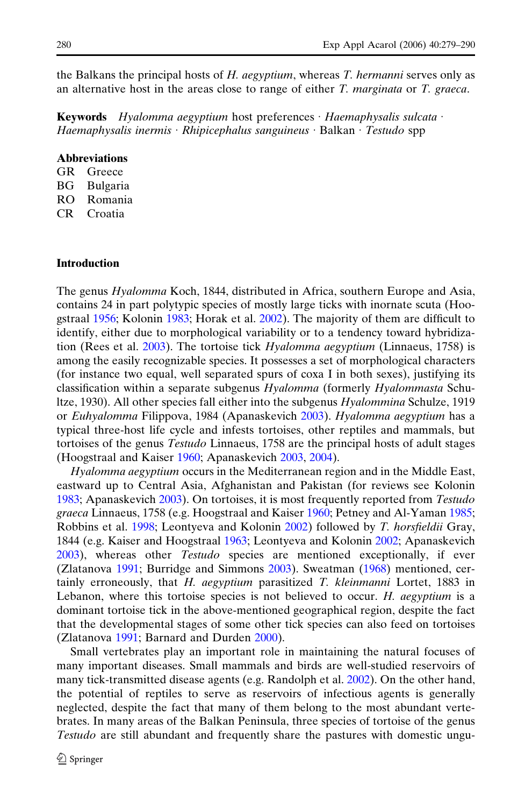the Balkans the principal hosts of H. *aegyptium*, whereas T. *hermanni* serves only as an alternative host in the areas close to range of either T. marginata or T. graeca.

**Keywords** Hyalomma aegyptium host preferences  $\cdot$  Haemaphysalis sulcata  $\cdot$ Haemaphysalis inermis · Rhipicephalus sanguineus · Balkan · Testudo spp

#### **Abbreviations**

| GR | Greece)  |
|----|----------|
| ВG | Bulgaria |
| RO | Romania  |
| CR | Croatia  |

#### Introduction

The genus *Hyalomma* Koch, 1844, distributed in Africa, southern Europe and Asia, contains 24 in part polytypic species of mostly large ticks with inornate scuta (Hoogstraal [1956;](#page-10-0) Kolonin [1983](#page-10-0); Horak et al. [2002](#page-10-0)). The majority of them are difficult to identify, either due to morphological variability or to a tendency toward hybridization (Rees et al. [2003\)](#page-11-0). The tortoise tick Hyalomma aegyptium (Linnaeus, 1758) is among the easily recognizable species. It possesses a set of morphological characters (for instance two equal, well separated spurs of coxa I in both sexes), justifying its classification within a separate subgenus *Hyalomma* (formerly *Hyalommasta* Schultze, 1930). All other species fall either into the subgenus Hyalommina Schulze, 1919 or Euhyalomma Filippova, 1984 (Apanaskevich [2003\)](#page-9-0). Hyalomma aegyptium has a typical three-host life cycle and infests tortoises, other reptiles and mammals, but tortoises of the genus Testudo Linnaeus, 1758 are the principal hosts of adult stages (Hoogstraal and Kaiser [1960](#page-10-0); Apanaskevich [2003,](#page-9-0) [2004\)](#page-9-0).

Hyalomma aegyptium occurs in the Mediterranean region and in the Middle East, eastward up to Central Asia, Afghanistan and Pakistan (for reviews see Kolonin [1983;](#page-10-0) Apanaskevich [2003](#page-9-0)). On tortoises, it is most frequently reported from Testudo graeca Linnaeus, 1758 (e.g. Hoogstraal and Kaiser [1960;](#page-10-0) Petney and Al-Yaman [1985](#page-10-0); Robbins et al. [1998;](#page-11-0) Leontyeva and Kolonin [2002](#page-10-0)) followed by T. horsfieldii Gray, 1844 (e.g. Kaiser and Hoogstraal [1963](#page-10-0); Leontyeva and Kolonin [2002](#page-10-0); Apanaskevich [2003\)](#page-9-0), whereas other Testudo species are mentioned exceptionally, if ever (Zlatanova [1991](#page-11-0); Burridge and Simmons [2003\)](#page-10-0). Sweatman [\(1968](#page-11-0)) mentioned, certainly erroneously, that H. aegyptium parasitized T. kleinmanni Lortet, 1883 in Lebanon, where this tortoise species is not believed to occur. H. aegyptium is a dominant tortoise tick in the above-mentioned geographical region, despite the fact that the developmental stages of some other tick species can also feed on tortoises (Zlatanova [1991](#page-11-0); Barnard and Durden [2000](#page-9-0)).

Small vertebrates play an important role in maintaining the natural focuses of many important diseases. Small mammals and birds are well-studied reservoirs of many tick-transmitted disease agents (e.g. Randolph et al. [2002\)](#page-11-0). On the other hand, the potential of reptiles to serve as reservoirs of infectious agents is generally neglected, despite the fact that many of them belong to the most abundant vertebrates. In many areas of the Balkan Peninsula, three species of tortoise of the genus Testudo are still abundant and frequently share the pastures with domestic ungu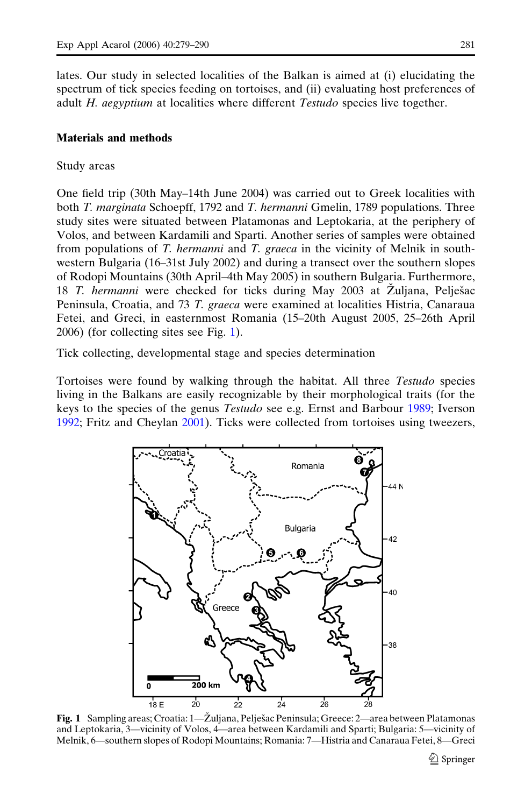lates. Our study in selected localities of the Balkan is aimed at (i) elucidating the spectrum of tick species feeding on tortoises, and (ii) evaluating host preferences of adult H. aegyptium at localities where different Testudo species live together.

#### Materials and methods

#### Study areas

One field trip (30th May–14th June 2004) was carried out to Greek localities with both T. marginata Schoepff, 1792 and T. hermanni Gmelin, 1789 populations. Three study sites were situated between Platamonas and Leptokaria, at the periphery of Volos, and between Kardamili and Sparti. Another series of samples were obtained from populations of T. hermanni and T. graeca in the vicinity of Melnik in southwestern Bulgaria (16–31st July 2002) and during a transect over the southern slopes of Rodopi Mountains (30th April–4th May 2005) in southern Bulgaria. Furthermore, 18 T. hermanni were checked for ticks during May 2003 at Žuljana, Pelješac Peninsula, Croatia, and 73 T. graeca were examined at localities Histria, Canaraua Fetei, and Greci, in easternmost Romania (15–20th August 2005, 25–26th April 2006) (for collecting sites see Fig. 1).

Tick collecting, developmental stage and species determination

Tortoises were found by walking through the habitat. All three Testudo species living in the Balkans are easily recognizable by their morphological traits (for the keys to the species of the genus Testudo see e.g. Ernst and Barbour [1989;](#page-10-0) Iverson [1992;](#page-10-0) Fritz and Cheylan [2001](#page-10-0)). Ticks were collected from tortoises using tweezers,



Fig. 1 Sampling areas; Croatia: 1—Žuljana, Pelješac Peninsula; Greece: 2—area between Platamonas and Leptokaria, 3—vicinity of Volos, 4—area between Kardamili and Sparti; Bulgaria: 5—vicinity of Melnik, 6—southern slopes of Rodopi Mountains; Romania: 7—Histria and Canaraua Fetei, 8—Greci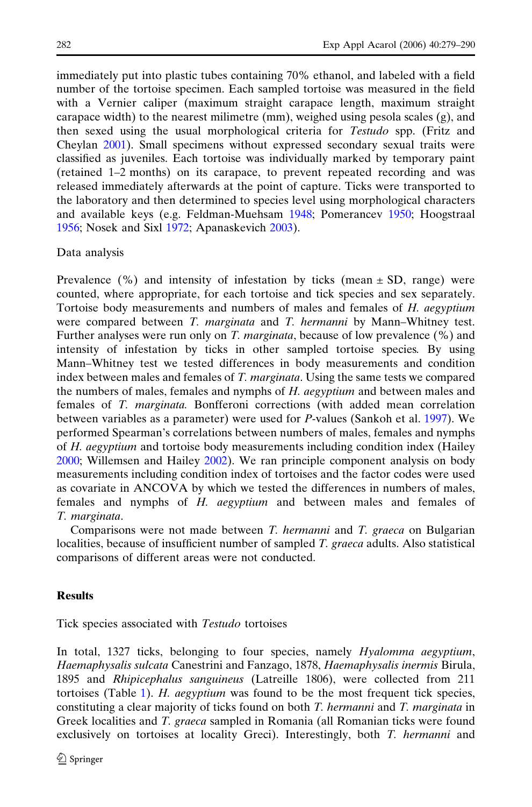immediately put into plastic tubes containing 70% ethanol, and labeled with a field number of the tortoise specimen. Each sampled tortoise was measured in the field with a Vernier caliper (maximum straight carapace length, maximum straight carapace width) to the nearest milimetre (mm), weighed using pesola scales  $(g)$ , and then sexed using the usual morphological criteria for *Testudo* spp. (Fritz and Cheylan [2001](#page-10-0)). Small specimens without expressed secondary sexual traits were classified as juveniles. Each tortoise was individually marked by temporary paint (retained 1–2 months) on its carapace, to prevent repeated recording and was released immediately afterwards at the point of capture. Ticks were transported to the laboratory and then determined to species level using morphological characters and available keys (e.g. Feldman-Muehsam [1948;](#page-10-0) Pomerancev [1950;](#page-11-0) Hoogstraal [1956;](#page-10-0) Nosek and Sixl [1972](#page-10-0); Apanaskevich [2003](#page-9-0)).

## Data analysis

Prevalence  $(\%)$  and intensity of infestation by ticks (mean  $\pm$  SD, range) were counted, where appropriate, for each tortoise and tick species and sex separately. Tortoise body measurements and numbers of males and females of H. aegyptium were compared between T. *marginata* and T. *hermanni* by Mann–Whitney test. Further analyses were run only on T. *marginata*, because of low prevalence (%) and intensity of infestation by ticks in other sampled tortoise species. By using Mann–Whitney test we tested differences in body measurements and condition index between males and females of T. *marginata*. Using the same tests we compared the numbers of males, females and nymphs of H. *aegyptium* and between males and females of T. marginata. Bonfferoni corrections (with added mean correlation between variables as a parameter) were used for P-values (Sankoh et al. [1997](#page-11-0)). We performed Spearman's correlations between numbers of males, females and nymphs of H. aegyptium and tortoise body measurements including condition index (Hailey [2000;](#page-10-0) Willemsen and Hailey [2002\)](#page-11-0). We ran principle component analysis on body measurements including condition index of tortoises and the factor codes were used as covariate in ANCOVA by which we tested the differences in numbers of males, females and nymphs of H. aegyptium and between males and females of T. marginata.

Comparisons were not made between *T. hermanni* and *T. graeca* on Bulgarian localities, because of insufficient number of sampled T. graeca adults. Also statistical comparisons of different areas were not conducted.

## Results

Tick species associated with Testudo tortoises

In total, 1327 ticks, belonging to four species, namely Hyalomma aegyptium, Haemaphysalis sulcata Canestrini and Fanzago, 1878, Haemaphysalis inermis Birula, 1895 and Rhipicephalus sanguineus (Latreille 1806), were collected from 211 tortoises (Table [1\)](#page-4-0). H. aegyptium was found to be the most frequent tick species, constituting a clear majority of ticks found on both T. hermanni and T. marginata in Greek localities and T. graeca sampled in Romania (all Romanian ticks were found exclusively on tortoises at locality Greci). Interestingly, both T. *hermanni* and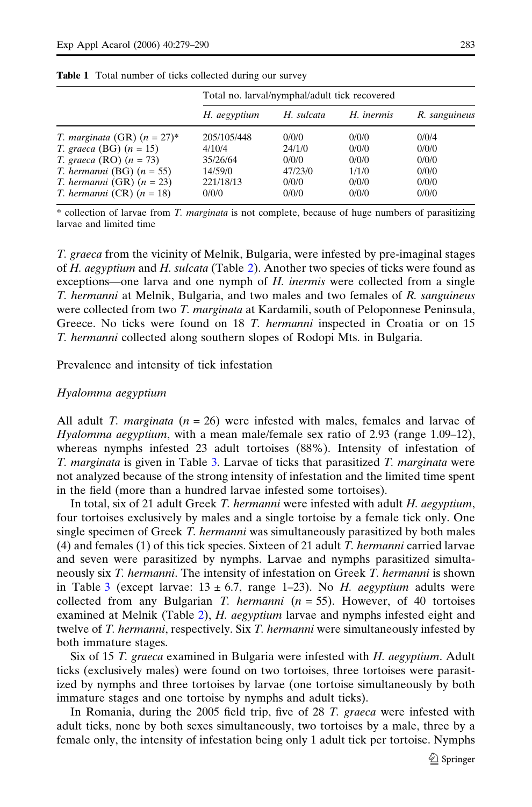|                                    | Total no. larval/nymphal/adult tick recovered |            |            |               |
|------------------------------------|-----------------------------------------------|------------|------------|---------------|
|                                    | H. aegyptium                                  | H. sulcata | H. inermis | R. sanguineus |
| T. marginata (GR) $(n = 27)^*$     | 205/105/448                                   | 0/0/0      | 0/0/0      | 0/0/4         |
| T. graeca (BG) $(n = 15)$          | 4/10/4                                        | 24/1/0     | 0/0/0      | 0/0/0         |
| T. graeca (RO) $(n = 73)$          | 35/26/64                                      | 0/0/0      | 0/0/0      | 0/0/0         |
| <i>T. hermanni</i> (BG) $(n = 55)$ | 14/59/0                                       | 47/23/0    | 1/1/0      | 0/0/0         |
| <i>T. hermanni</i> (GR) $(n = 23)$ | 221/18/13                                     | 0/0/0      | 0/0/0      | 0/0/0         |
| T. hermanni (CR) $(n = 18)$        | 0/0/0                                         | 0/0/0      | 0/0/0      | 0/0/0         |

<span id="page-4-0"></span>Table 1 Total number of ticks collected during our survey

\* collection of larvae from T. marginata is not complete, because of huge numbers of parasitizing larvae and limited time

T. graeca from the vicinity of Melnik, Bulgaria, were infested by pre-imaginal stages of H. aegyptium and H. sulcata (Table [2\)](#page-5-0). Another two species of ticks were found as exceptions—one larva and one nymph of H. *inermis* were collected from a single T. hermanni at Melnik, Bulgaria, and two males and two females of R. sanguineus were collected from two T. *marginata* at Kardamili, south of Peloponnese Peninsula, Greece. No ticks were found on 18 T. *hermanni* inspected in Croatia or on 15 T. hermanni collected along southern slopes of Rodopi Mts. in Bulgaria.

Prevalence and intensity of tick infestation

#### Hyalomma aegyptium

All adult T. *marginata*  $(n = 26)$  were infested with males, females and larvae of Hyalomma aegyptium, with a mean male/female sex ratio of 2.93 (range 1.09–12), whereas nymphs infested 23 adult tortoises (88%). Intensity of infestation of T. marginata is given in Table [3](#page-5-0). Larvae of ticks that parasitized T. marginata were not analyzed because of the strong intensity of infestation and the limited time spent in the field (more than a hundred larvae infested some tortoises).

In total, six of 21 adult Greek T. *hermanni* were infested with adult  $H$ . *aegyptium*, four tortoises exclusively by males and a single tortoise by a female tick only. One single specimen of Greek T. *hermanni* was simultaneously parasitized by both males (4) and females (1) of this tick species. Sixteen of 21 adult T. hermanni carried larvae and seven were parasitized by nymphs. Larvae and nymphs parasitized simultaneously six T. hermanni. The intensity of infestation on Greek T. hermanni is shown in Table [3](#page-5-0) (except larvae:  $13 \pm 6.7$ , range 1–23). No *H. aegyptium* adults were collected from any Bulgarian T. *hermanni*  $(n = 55)$ . However, of 40 tortoises examined at Melnik (Table [2\)](#page-5-0), *H. aegyptium* larvae and nymphs infested eight and twelve of T. hermanni, respectively. Six T. hermanni were simultaneously infested by both immature stages.

Six of 15 T. graeca examined in Bulgaria were infested with H. aegyptium. Adult ticks (exclusively males) were found on two tortoises, three tortoises were parasitized by nymphs and three tortoises by larvae (one tortoise simultaneously by both immature stages and one tortoise by nymphs and adult ticks).

In Romania, during the 2005 field trip, five of 28 T. graeca were infested with adult ticks, none by both sexes simultaneously, two tortoises by a male, three by a female only, the intensity of infestation being only 1 adult tick per tortoise. Nymphs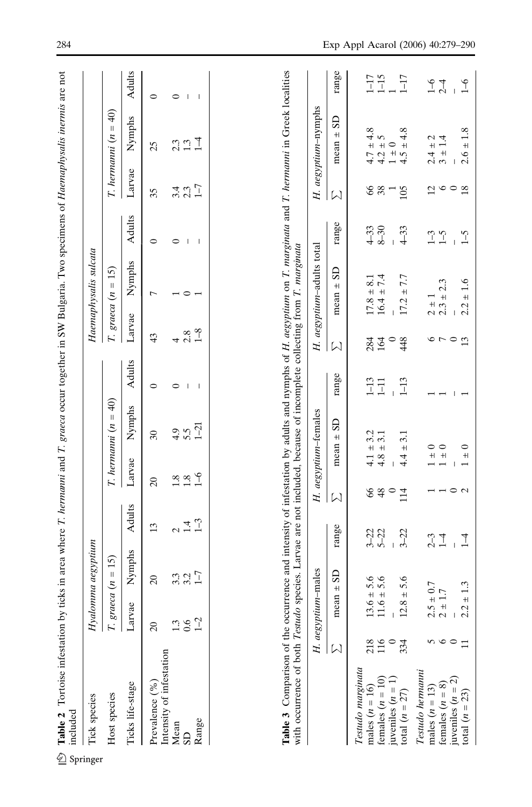<span id="page-5-0"></span>

| Tick species                     |            | Hyalomma aegyptium                                                                  |         |               |                          |   |               | Haemaphysalis sulcata             |   |         |                          |  |
|----------------------------------|------------|-------------------------------------------------------------------------------------|---------|---------------|--------------------------|---|---------------|-----------------------------------|---|---------|--------------------------|--|
| Host species                     |            | $T. gracea (n = 15)$                                                                |         |               | $T.$ hermanni $(n = 40)$ |   |               | $T. \, \text{gracea} \, (n = 15)$ |   |         | $T.$ hermanni $(n = 40)$ |  |
| l'icks life-stage                |            | Larvae Nymphs Adults Larvae Nymphs Adults Larvae Nymphs Adults Larvae Nymphs Adults |         |               |                          |   |               |                                   |   |         |                          |  |
| revalence (%)                    |            | $\approx$                                                                           | 13      | $\approx$     | $\approx$                |   | 43            |                                   |   | 35      | 25                       |  |
| intensity of infestation<br>Mean |            | 3.3                                                                                 |         | 1.8           | 4.9                      |   |               |                                   |   |         | 2.3                      |  |
|                                  |            | $3.2$<br>1-7                                                                        |         | 1.8           | 5.5                      | I | 2.8           |                                   | I | 2.3     | 1.3                      |  |
| Range                            | $\sqrt{2}$ |                                                                                     | $1 - 3$ | $\frac{9}{1}$ | $1 - 21$                 |   | $\frac{8}{1}$ |                                   |   | $1 - 7$ | $\overline{1}$           |  |

**Table 3** Comparison of the occurrence and intensity of infestation by adults and nymphs of H. aegyptium on T. marginata and T. hermanni in Greek localities with commence of both Testing and T. are accounted as a conseque **Table 3** Comparison of the occurrence and intensity of infestation by adults and nymphs of H. *aegyptium* on T. *marginata* and T. *hermanni* in Greek localities with occurrence of both Testudo species. Larvae are not included, because of incomplete collecting from T. marginata

| with occurrence of both 1 estado species. Larvae are not included, because of incomplete collecting from 1. marginal |                    |                      |                          |                                |                                                   |                          |                                        |                     |                          |                                                            |                                                            |
|----------------------------------------------------------------------------------------------------------------------|--------------------|----------------------|--------------------------|--------------------------------|---------------------------------------------------|--------------------------|----------------------------------------|---------------------|--------------------------|------------------------------------------------------------|------------------------------------------------------------|
|                                                                                                                      | H. aegyptium-males |                      |                          | H. aegyptium-females           |                                                   |                          | H. aegyptium-adults total              |                     |                          | H. aegyptium-nymphs                                        |                                                            |
|                                                                                                                      | mean $\pm$ SD      | range                | $\overline{\mathcal{N}}$ | mean $\pm$ SD                  | range                                             | $\overline{\mathcal{N}}$ | mean $\pm$ SD                          | range               | $\overline{\mathcal{N}}$ | mean $\pm$ SD                                              | range                                                      |
| Testudo marginata<br>males $(n = 16)$                                                                                | $13.6 \pm 5.6$     |                      |                          |                                | $\begin{array}{c} 1-13 \\[-4pt] 1-11 \end{array}$ |                          |                                        | $\frac{4-33}{8-30}$ | 88                       |                                                            |                                                            |
| females $(n = 10)$                                                                                                   | $1.6 \pm 5.6$      | $3 - 22$<br>$5 - 22$ | 8801                     | $4.1 \pm 3.2$<br>$4.8 \pm 3.1$ |                                                   | $\frac{284}{164}$        | $17.8 \pm 8.1$ $16.4 \pm 7.4$          |                     |                          | $4.7 \pm 4.8$<br>$4.2 \pm 5$<br>$1 \pm 0$<br>$4.5 \pm 4.8$ | $\frac{1}{1} - \frac{1}{1}$<br>$\frac{1}{1} - \frac{1}{1}$ |
|                                                                                                                      |                    |                      |                          | $\overline{1}$                 |                                                   | $\circ$                  |                                        |                     |                          |                                                            |                                                            |
| juveniles $(n = 1)$<br>total $(n = 27)$                                                                              | $12.8 \pm 5.6$     | $3 - 22$             |                          | $4.4 \pm 3.1$                  | $1 - 13$                                          | 448                      | $17.2 \pm 7.7$                         | $4 - 33$            | 105                      |                                                            |                                                            |
| ${\it Testudo~hermanri}$                                                                                             |                    |                      |                          |                                |                                                   |                          |                                        |                     |                          |                                                            |                                                            |
| males $(n = 13)$                                                                                                     | $2.5 \pm 0.7$      |                      |                          | $1 \pm 0$                      |                                                   |                          | $2 \pm 1$<br>$2 \cdot 3 \pm 2 \cdot 3$ | $\frac{3}{11}$      | $\overline{c}$           |                                                            |                                                            |
| females $(n = 8)$                                                                                                    | $\pm$ 1.7          | $2 - 3$              |                          | $1\pm0$                        |                                                   | $\mathbf{r}$             |                                        |                     | $\circ$                  | $2.4 \pm 2$<br>$3 \pm 1.4$                                 | $\frac{6}{14}$                                             |
| juveniles $(n = 2)$                                                                                                  |                    |                      |                          |                                |                                                   |                          | Ï                                      |                     | $\circ$                  | Ï                                                          |                                                            |
| total $(n = 23)$                                                                                                     | $2.2 \pm 1.3$      | $\frac{1}{4}$        | $\mathbf{\Omega}$        | $1 \pm 0$                      |                                                   | $\mathbf{r}$             | $2.2 \pm 1.6$                          | $\zeta$ –1          | 18                       | $2.6 \pm 1.8$                                              | $\frac{1}{1-6}$                                            |
|                                                                                                                      |                    |                      |                          |                                |                                                   |                          |                                        |                     |                          |                                                            |                                                            |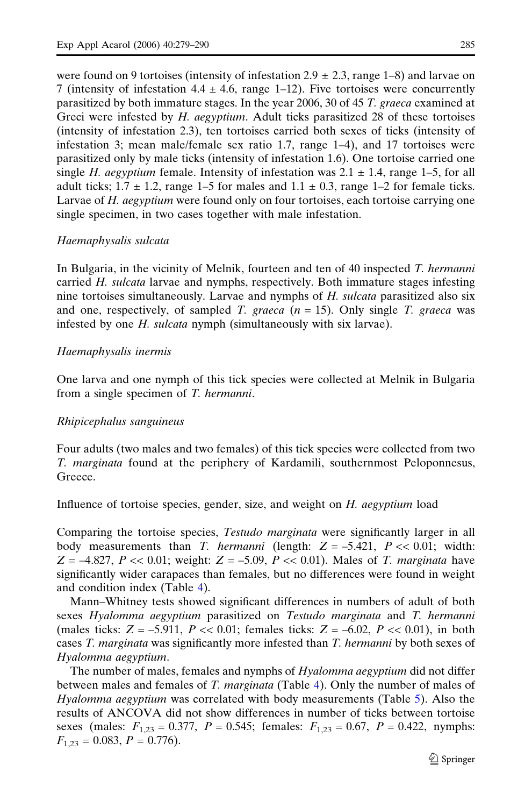were found on 9 tortoises (intensity of infestation  $2.9 \pm 2.3$ , range 1–8) and larvae on 7 (intensity of infestation  $4.4 \pm 4.6$ , range 1–12). Five tortoises were concurrently parasitized by both immature stages. In the year 2006, 30 of 45 T. graeca examined at Greci were infested by H. *aegyptium*. Adult ticks parasitized 28 of these tortoises (intensity of infestation 2.3), ten tortoises carried both sexes of ticks (intensity of infestation 3; mean male/female sex ratio 1.7, range 1–4), and 17 tortoises were parasitized only by male ticks (intensity of infestation 1.6). One tortoise carried one single H. aegyptium female. Intensity of infestation was  $2.1 \pm 1.4$ , range 1–5, for all adult ticks;  $1.7 \pm 1.2$ , range 1–5 for males and  $1.1 \pm 0.3$ , range 1–2 for female ticks. Larvae of H. *aegyptium* were found only on four tortoises, each tortoise carrying one single specimen, in two cases together with male infestation.

## Haemaphysalis sulcata

In Bulgaria, in the vicinity of Melnik, fourteen and ten of 40 inspected T. hermanni carried H. sulcata larvae and nymphs, respectively. Both immature stages infesting nine tortoises simultaneously. Larvae and nymphs of H. sulcata parasitized also six and one, respectively, of sampled T. graeca  $(n = 15)$ . Only single T. graeca was infested by one *H. sulcata* nymph (simultaneously with six larvae).

# Haemaphysalis inermis

One larva and one nymph of this tick species were collected at Melnik in Bulgaria from a single specimen of T. hermanni.

# Rhipicephalus sanguineus

Four adults (two males and two females) of this tick species were collected from two T. marginata found at the periphery of Kardamili, southernmost Peloponnesus, Greece.

Influence of tortoise species, gender, size, and weight on H. aegyptium load

Comparing the tortoise species, *Testudo marginata* were significantly larger in all body measurements than T. *hermanni* (length:  $Z = -5.421$ ,  $P \ll 0.01$ ; width:  $Z = -4.827$ ,  $P \ll 0.01$ ; weight:  $Z = -5.09$ ,  $P \ll 0.01$ ). Males of T. marginata have significantly wider carapaces than females, but no differences were found in weight and condition index (Table [4\)](#page-7-0).

Mann–Whitney tests showed significant differences in numbers of adult of both sexes Hyalomma aegyptium parasitized on Testudo marginata and T. hermanni (males ticks:  $Z = -5.911$ ,  $P \ll 0.01$ ; females ticks:  $Z = -6.02$ ,  $P \ll 0.01$ ), in both cases T. marginata was significantly more infested than T. hermanni by both sexes of Hyalomma aegyptium.

The number of males, females and nymphs of Hyalomma aegyptium did not differ between males and females of T. marginata (Table [4](#page-7-0)). Only the number of males of Hyalomma aegyptium was correlated with body measurements (Table [5](#page-7-0)). Also the results of ANCOVA did not show differences in number of ticks between tortoise sexes (males:  $F_{1,23} = 0.377$ ,  $P = 0.545$ ; females:  $F_{1,23} = 0.67$ ,  $P = 0.422$ , nymphs:  $F_{1,23} = 0.083, P = 0.776$ .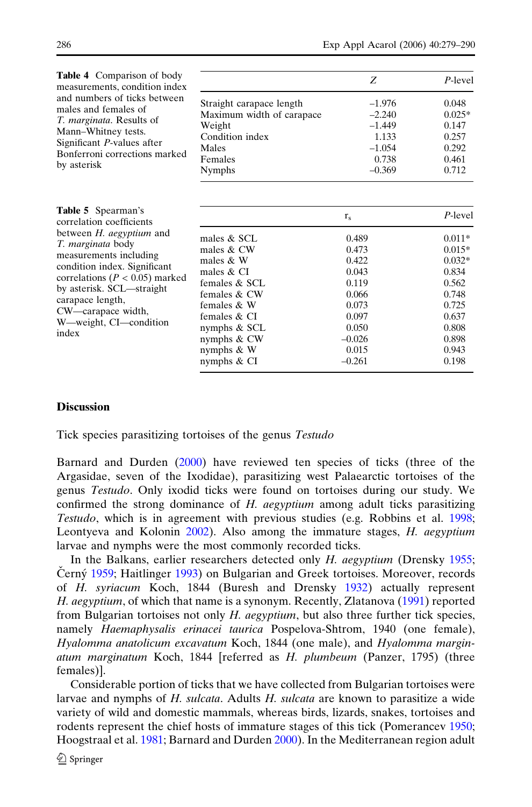<span id="page-7-0"></span>

| Table 4 Comparison of body<br>measurements, condition index                                                                                                                                                                                                                                                      |                                                                                                                                                                | Z                                                                                                        | P-level                                                                                                    |
|------------------------------------------------------------------------------------------------------------------------------------------------------------------------------------------------------------------------------------------------------------------------------------------------------------------|----------------------------------------------------------------------------------------------------------------------------------------------------------------|----------------------------------------------------------------------------------------------------------|------------------------------------------------------------------------------------------------------------|
| and numbers of ticks between                                                                                                                                                                                                                                                                                     | Straight carapace length                                                                                                                                       | $-1.976$                                                                                                 | 0.048                                                                                                      |
| males and females of                                                                                                                                                                                                                                                                                             | Maximum width of carapace                                                                                                                                      | $-2.240$                                                                                                 | $0.025*$                                                                                                   |
| T. marginata. Results of                                                                                                                                                                                                                                                                                         | Weight                                                                                                                                                         | $-1.449$                                                                                                 | 0.147                                                                                                      |
| Mann-Whitney tests.                                                                                                                                                                                                                                                                                              | Condition index                                                                                                                                                | 1.133                                                                                                    | 0.257                                                                                                      |
| Significant P-values after                                                                                                                                                                                                                                                                                       | Males                                                                                                                                                          | $-1.054$                                                                                                 | 0.292                                                                                                      |
| Bonferroni corrections marked                                                                                                                                                                                                                                                                                    | Females                                                                                                                                                        | 0.738                                                                                                    | 0.461                                                                                                      |
| by asterisk                                                                                                                                                                                                                                                                                                      | <b>Nymphs</b>                                                                                                                                                  | $-0.369$                                                                                                 | 0.712                                                                                                      |
| <b>Table 5</b> Spearman's<br>correlation coefficients<br>between H. aegyptium and<br>T. marginata body<br>measurements including<br>condition index. Significant<br>correlations ( $P < 0.05$ ) marked<br>by asterisk. SCL—straight<br>carapace length,<br>CW—carapace width,<br>W—weight, CI—condition<br>index | males $&$ SCL<br>males & CW<br>males $&$ W<br>males $&$ CI<br>females $&$ SCL.<br>females & CW<br>females $&$ W<br>females & CI<br>nymphs & SCL<br>nymphs & CW | $r_{\rm s}$<br>0.489<br>0.473<br>0.422<br>0.043<br>0.119<br>0.066<br>0.073<br>0.097<br>0.050<br>$-0.026$ | P-level<br>$0.011*$<br>$0.015*$<br>$0.032*$<br>0.834<br>0.562<br>0.748<br>0.725<br>0.637<br>0.808<br>0.898 |
|                                                                                                                                                                                                                                                                                                                  | nymphs & W                                                                                                                                                     | 0.015                                                                                                    | 0.943                                                                                                      |
|                                                                                                                                                                                                                                                                                                                  | nymphs $&CI$                                                                                                                                                   | $-0.261$                                                                                                 | 0.198                                                                                                      |

## **Discussion**

Tick species parasitizing tortoises of the genus Testudo

Barnard and Durden ([2000\)](#page-9-0) have reviewed ten species of ticks (three of the Argasidae, seven of the Ixodidae), parasitizing west Palaearctic tortoises of the genus Testudo. Only ixodid ticks were found on tortoises during our study. We confirmed the strong dominance of H. *aegyptium* among adult ticks parasitizing Testudo, which is in agreement with previous studies (e.g. Robbins et al. [1998](#page-11-0); Leontyeva and Kolonin [2002\)](#page-10-0). Also among the immature stages, H. aegyptium larvae and nymphs were the most commonly recorded ticks.

In the Balkans, earlier researchers detected only H. aegyptium (Drensky [1955](#page-10-0); Cerný [1959;](#page-10-0) Haitlinger [1993\)](#page-10-0) on Bulgarian and Greek tortoises. Moreover, records of H. syriacum Koch, 1844 (Buresh and Drensky [1932\)](#page-10-0) actually represent H. aegyptium, of which that name is a synonym. Recently, Zlatanova [\(1991](#page-11-0)) reported from Bulgarian tortoises not only H. *aegyptium*, but also three further tick species, namely *Haemaphysalis erinacei taurica* Pospelova-Shtrom, 1940 (one female), Hyalomma anatolicum excavatum Koch, 1844 (one male), and Hyalomma marginatum marginatum Koch, 1844 [referred as H. plumbeum (Panzer, 1795) (three females)].

Considerable portion of ticks that we have collected from Bulgarian tortoises were larvae and nymphs of H. sulcata. Adults H. sulcata are known to parasitize a wide variety of wild and domestic mammals, whereas birds, lizards, snakes, tortoises and rodents represent the chief hosts of immature stages of this tick (Pomerancev [1950](#page-11-0); Hoogstraal et al. [1981](#page-10-0); Barnard and Durden [2000\)](#page-9-0). In the Mediterranean region adult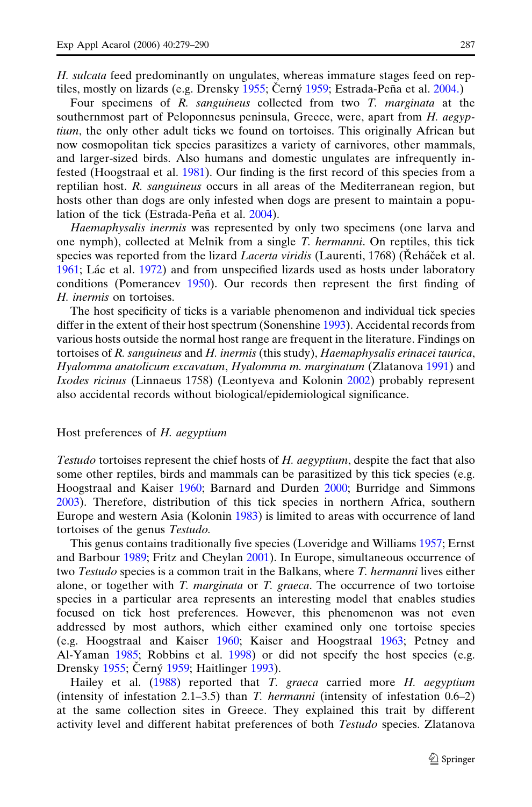H. sulcata feed predominantly on ungulates, whereas immature stages feed on reptiles, mostly on lizards (e.g. Drensky  $1955$ ; Černý  $1959$ ; Estrada-Peña et al. [2004.\)](#page-10-0)

Four specimens of R. sanguineus collected from two T. marginata at the southernmost part of Peloponnesus peninsula, Greece, were, apart from H. aegyptium, the only other adult ticks we found on tortoises. This originally African but now cosmopolitan tick species parasitizes a variety of carnivores, other mammals, and larger-sized birds. Also humans and domestic ungulates are infrequently infested (Hoogstraal et al. [1981\)](#page-10-0). Our finding is the first record of this species from a reptilian host. R. *sanguineus* occurs in all areas of the Mediterranean region, but hosts other than dogs are only infested when dogs are present to maintain a popu-lation of the tick (Estrada-Peña et al. [2004](#page-10-0)).

Haemaphysalis inermis was represented by only two specimens (one larva and one nymph), collected at Melnik from a single T. hermanni. On reptiles, this tick species was reported from the lizard *Lacerta viridis* (Laurenti, 1768) (Reháček et al. [1961;](#page-11-0) Lác et al. [1972](#page-10-0)) and from unspecified lizards used as hosts under laboratory conditions (Pomerancev [1950\)](#page-11-0). Our records then represent the first finding of H. inermis on tortoises.

The host specificity of ticks is a variable phenomenon and individual tick species differ in the extent of their host spectrum (Sonenshine [1993\)](#page-11-0). Accidental records from various hosts outside the normal host range are frequent in the literature. Findings on tortoises of R. sanguineus and H. inermis (this study), Haemaphysalis erinacei taurica, Hyalomma anatolicum excavatum, Hyalomma m. marginatum (Zlatanova [1991](#page-11-0)) and Ixodes ricinus (Linnaeus 1758) (Leontyeva and Kolonin [2002](#page-10-0)) probably represent also accidental records without biological/epidemiological significance.

#### Host preferences of H. aegyptium

Testudo tortoises represent the chief hosts of H. aegyptium, despite the fact that also some other reptiles, birds and mammals can be parasitized by this tick species (e.g. Hoogstraal and Kaiser [1960;](#page-10-0) Barnard and Durden [2000](#page-9-0); Burridge and Simmons [2003\)](#page-10-0). Therefore, distribution of this tick species in northern Africa, southern Europe and western Asia (Kolonin [1983](#page-10-0)) is limited to areas with occurrence of land tortoises of the genus Testudo.

This genus contains traditionally five species (Loveridge and Williams [1957](#page-10-0); Ernst and Barbour [1989](#page-10-0); Fritz and Cheylan [2001\)](#page-10-0). In Europe, simultaneous occurrence of two Testudo species is a common trait in the Balkans, where T. hermanni lives either alone, or together with  $T$ . marginata or  $T$ . graeca. The occurrence of two tortoise species in a particular area represents an interesting model that enables studies focused on tick host preferences. However, this phenomenon was not even addressed by most authors, which either examined only one tortoise species (e.g. Hoogstraal and Kaiser [1960;](#page-10-0) Kaiser and Hoogstraal [1963](#page-10-0); Petney and Al-Yaman [1985](#page-10-0); Robbins et al. [1998\)](#page-11-0) or did not specify the host species (e.g. Drensky [1955;](#page-10-0) Cerný [1959;](#page-10-0) Haitlinger [1993](#page-10-0)).

Hailey et al. ([1988\)](#page-10-0) reported that *T. graeca* carried more *H. aegyptium* (intensity of infestation 2.1–3.5) than  $T$ . *hermanni* (intensity of infestation  $0.6-2$ ) at the same collection sites in Greece. They explained this trait by different activity level and different habitat preferences of both Testudo species. Zlatanova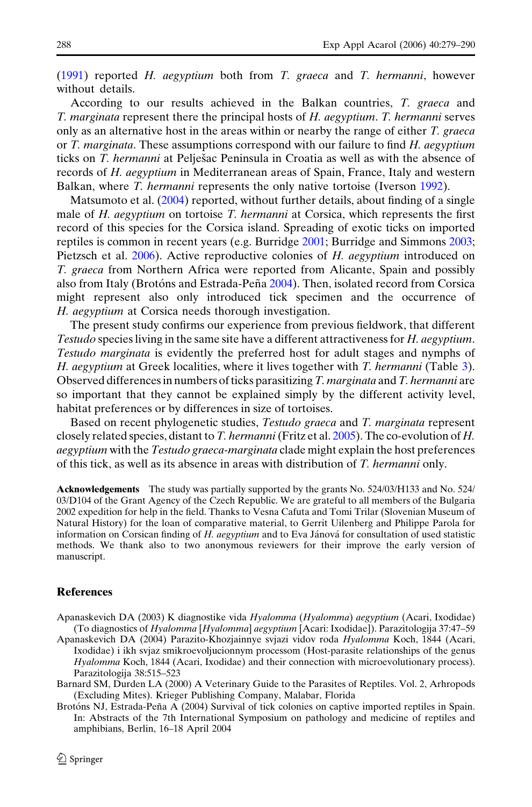<span id="page-9-0"></span> $(1991)$  $(1991)$  reported H. aegyptium both from T. graeca and T. hermanni, however without details.

According to our results achieved in the Balkan countries, T. graeca and T. marginata represent there the principal hosts of H. aegyptium. T. hermanni serves only as an alternative host in the areas within or nearby the range of either T. graeca or T. marginata. These assumptions correspond with our failure to find H. aegyptium ticks on T. *hermanni* at Pelješac Peninsula in Croatia as well as with the absence of records of H. aegyptium in Mediterranean areas of Spain, France, Italy and western Balkan, where *T. hermanni* represents the only native tortoise (Iverson [1992](#page-10-0)).

Matsumoto et al. [\(2004](#page-10-0)) reported, without further details, about finding of a single male of H. aegyptium on tortoise T. hermanni at Corsica, which represents the first record of this species for the Corsica island. Spreading of exotic ticks on imported reptiles is common in recent years (e.g. Burridge [2001;](#page-10-0) Burridge and Simmons [2003](#page-10-0); Pietzsch et al. [2006](#page-10-0)). Active reproductive colonies of H. *aegyptium* introduced on T. graeca from Northern Africa were reported from Alicante, Spain and possibly also from Italy (Brotóns and Estrada-Peña 2004). Then, isolated record from Corsica might represent also only introduced tick specimen and the occurrence of H. aegyptium at Corsica needs thorough investigation.

The present study confirms our experience from previous fieldwork, that different Testudo species living in the same site have a different attractiveness for H. aegyptium. Testudo marginata is evidently the preferred host for adult stages and nymphs of H. aegyptium at Greek localities, where it lives together with T. hermanni (Table [3\)](#page-5-0). Observed differences in numbers of ticks parasitizing  $T$ . marginata and  $T$ . hermanni are so important that they cannot be explained simply by the different activity level, habitat preferences or by differences in size of tortoises.

Based on recent phylogenetic studies, Testudo graeca and T. marginata represent closely related species, distant to T. hermanni (Fritz et al. [2005\)](#page-10-0). The co-evolution of H. *aegyptium* with the *Testudo graeca-marginata* clade might explain the host preferences of this tick, as well as its absence in areas with distribution of T. hermanni only.

Acknowledgements The study was partially supported by the grants No. 524/03/H133 and No. 524/ 03/D104 of the Grant Agency of the Czech Republic. We are grateful to all members of the Bulgaria 2002 expedition for help in the field. Thanks to Vesna Cafuta and Tomi Trilar (Slovenian Museum of Natural History) for the loan of comparative material, to Gerrit Uilenberg and Philippe Parola for information on Corsican finding of H. aegyptium and to Eva Jánová for consultation of used statistic methods. We thank also to two anonymous reviewers for their improve the early version of manuscript.

#### **References**

- Apanaskevich DA (2003) K diagnostike vida Hyalomma (Hyalomma) aegyptium (Acari, Ixodidae) (To diagnostics of Hyalomma [Hyalomma] aegyptium [Acari: Ixodidae]). Parazitologija 37:47–59
- Apanaskevich DA (2004) Parazito-Khozjainnye svjazi vidov roda Hyalomma Koch, 1844 (Acari, Ixodidae) i ikh svjaz smikroevoljucionnym processom (Host-parasite relationships of the genus Hyalomma Koch, 1844 (Acari, Ixodidae) and their connection with microevolutionary process). Parazitologija 38:515–523
- Barnard SM, Durden LA (2000) A Veterinary Guide to the Parasites of Reptiles. Vol. 2, Arhropods (Excluding Mites). Krieger Publishing Company, Malabar, Florida
- Brotóns NJ, Estrada-Peña A (2004) Survival of tick colonies on captive imported reptiles in Spain. In: Abstracts of the 7th International Symposium on pathology and medicine of reptiles and amphibians, Berlin, 16–18 April 2004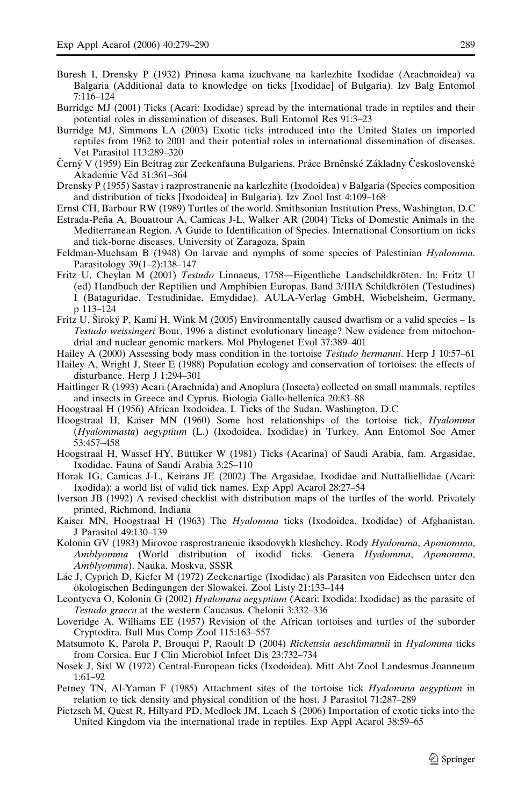- <span id="page-10-0"></span>Buresh I, Drensky P (1932) Prinosa kama izuchvane na karlezhite Ixodidae (Arachnoidea) va Balgaria (Additional data to knowledge on ticks [Ixodidae] of Bulgaria). Izv Balg Entomol 7:116–124
- Burridge MJ (2001) Ticks (Acari: Ixodidae) spread by the international trade in reptiles and their potential roles in dissemination of diseases. Bull Entomol Res 91:3–23
- Burridge MJ, Simmons LA (2003) Exotic ticks introduced into the United States on imported reptiles from 1962 to 2001 and their potential roles in international dissemination of diseases. Vet Parasitol 113:289–320
- Černý V (1959) Ein Beitrag zur Zeckenfauna Bulgariens. Práce Brněnské Základny Československé Akademie Věd 31:361-364
- Drensky P (1955) Sastav i razprostranenie na karlezhite (Ixodoidea) v Balgaria (Species composition and distribution of ticks [Ixodoidea] in Bulgaria). Izv Zool Inst 4:109–168
- Ernst CH, Barbour RW (1989) Turtles of the world. Smithsonian Institution Press, Washington, D.C
- Estrada-Peña A, Bouattour A, Camicas J-L, Walker AR (2004) Ticks of Domestic Animals in the Mediterranean Region. A Guide to Identification of Species. International Consortium on ticks and tick-borne diseases, University of Zaragoza, Spain
- Feldman-Muehsam B (1948) On larvae and nymphs of some species of Palestinian Hyalomma. Parasitology 39(1–2):138–147
- Fritz U, Cheylan M (2001) Testudo Linnaeus, 1758—Eigentliche Landschildkröten. In: Fritz U (ed) Handbuch der Reptilien und Amphibien Europas. Band 3/IIIA Schildkröten (Testudines) I (Bataguridae, Testudinidae, Emydidae). AULA-Verlag GmbH, Wiebelsheim, Germany, p 113–124
- Fritz U, Široký P, Kami H, Wink M (2005) Environmentally caused dwarfism or a valid species Is Testudo weissingeri Bour, 1996 a distinct evolutionary lineage? New evidence from mitochondrial and nuclear genomic markers. Mol Phylogenet Evol 37:389–401
- Hailey A (2000) Assessing body mass condition in the tortoise Testudo hermanni. Herp J 10:57–61
- Hailey A, Wright J, Steer E (1988) Population ecology and conservation of tortoises: the effects of disturbance. Herp J 1:294–301
- Haitlinger R (1993) Acari (Arachnida) and Anoplura (Insecta) collected on small mammals, reptiles and insects in Greece and Cyprus. Biologia Gallo-hellenica 20:83–88
- Hoogstraal H (1956) African Ixodoidea. I. Ticks of the Sudan. Washington, D.C
- Hoogstraal H, Kaiser MN (1960) Some host relationships of the tortoise tick, Hyalomma (Hyalommasta) aegyptium (L.) (Ixodoidea, Ixodidae) in Turkey. Ann Entomol Soc Amer 53:457–458
- Hoogstraal H, Wassef HY, Büttiker W (1981) Ticks (Acarina) of Saudi Arabia, fam. Argasidae, Ixodidae. Fauna of Saudi Arabia 3:25–110
- Horak IG, Camicas J-L, Keirans JE (2002) The Argasidae, Ixodidae and Nuttalliellidae (Acari: Ixodida): a world list of valid tick names. Exp Appl Acarol 28:27–54
- Iverson JB (1992) A revised checklist with distribution maps of the turtles of the world. Privately printed, Richmond, Indiana
- Kaiser MN, Hoogstraal H (1963) The Hyalomma ticks (Ixodoidea, Ixodidae) of Afghanistan. J Parasitol 49:130–139
- Kolonin GV (1983) Mirovoe rasprostranenie iksodovykh kleshchey. Rody Hyalomma, Aponomma, Amblyomma (World distribution of ixodid ticks. Genera Hyalomma, Aponomma, Amblyomma). Nauka, Moskva, SSSR
- La´c J, Cyprich D, Kiefer M (1972) Zeckenartige (Ixodidae) als Parasiten von Eidechsen unter den ökologischen Bedingungen der Slowakei. Zool Listy 21:133–144
- Leontyeva O, Kolonin G (2002) Hyalomma aegyptium (Acari: Ixodida: Ixodidae) as the parasite of Testudo graeca at the western Caucasus. Chelonii 3:332–336
- Loveridge A, Williams EE (1957) Revision of the African tortoises and turtles of the suborder Cryptodira. Bull Mus Comp Zool 115:163–557
- Matsumoto K, Parola P, Brouqui P, Raoult D (2004) Rickettsia aeschlimannii in Hyalomma ticks from Corsica. Eur J Clin Microbiol Infect Dis 23:732–734
- Nosek J, Sixl W (1972) Central-European ticks (Ixodoidea). Mitt Abt Zool Landesmus Joanneum 1:61–92
- Petney TN, Al-Yaman F (1985) Attachment sites of the tortoise tick *Hyalomma aegyptium* in relation to tick density and physical condition of the host. J Parasitol 71:287–289
- Pietzsch M, Quest R, Hillyard PD, Medlock JM, Leach S (2006) Importation of exotic ticks into the United Kingdom via the international trade in reptiles. Exp Appl Acarol 38:59–65